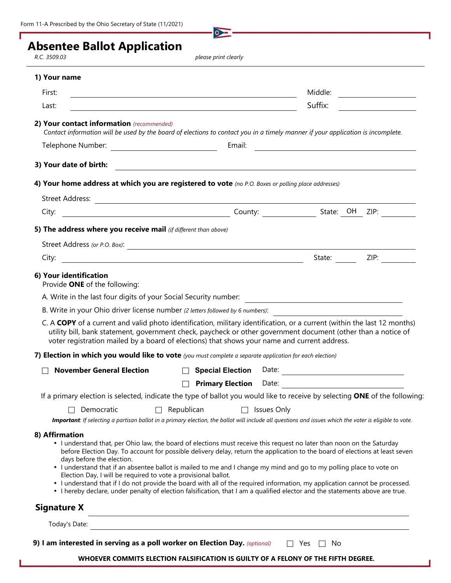$\bullet$ 

## **Absentee Ballot Application**

*R.C. 3509.03 please print clearly*

## **1) Your name**

| First:<br><u> 1989 - Johann Stoff, Amerikaansk politiker († 1908)</u>                                                                                                                                                                                                                                                                                                                                                                                                                                                                                                                                                                                                                                                                                           |  |                                                                   | Middle: ______________________          |
|-----------------------------------------------------------------------------------------------------------------------------------------------------------------------------------------------------------------------------------------------------------------------------------------------------------------------------------------------------------------------------------------------------------------------------------------------------------------------------------------------------------------------------------------------------------------------------------------------------------------------------------------------------------------------------------------------------------------------------------------------------------------|--|-------------------------------------------------------------------|-----------------------------------------|
| Last:<br><u> 1989 - Johann Barbara, martxa alemaniar arg</u>                                                                                                                                                                                                                                                                                                                                                                                                                                                                                                                                                                                                                                                                                                    |  | Suffix:                                                           | <u> 1989 - Johann Barbara, martxa a</u> |
| 2) Your contact information (recommended)<br>Contact information will be used by the board of elections to contact you in a timely manner if your application is incomplete.                                                                                                                                                                                                                                                                                                                                                                                                                                                                                                                                                                                    |  |                                                                   |                                         |
|                                                                                                                                                                                                                                                                                                                                                                                                                                                                                                                                                                                                                                                                                                                                                                 |  |                                                                   |                                         |
| 3) Your date of birth:                                                                                                                                                                                                                                                                                                                                                                                                                                                                                                                                                                                                                                                                                                                                          |  |                                                                   |                                         |
| 4) Your home address at which you are registered to vote (no P.O. Boxes or polling place addresses)                                                                                                                                                                                                                                                                                                                                                                                                                                                                                                                                                                                                                                                             |  |                                                                   |                                         |
|                                                                                                                                                                                                                                                                                                                                                                                                                                                                                                                                                                                                                                                                                                                                                                 |  |                                                                   |                                         |
|                                                                                                                                                                                                                                                                                                                                                                                                                                                                                                                                                                                                                                                                                                                                                                 |  |                                                                   |                                         |
| 5) The address where you receive mail (if different than above)                                                                                                                                                                                                                                                                                                                                                                                                                                                                                                                                                                                                                                                                                                 |  |                                                                   |                                         |
|                                                                                                                                                                                                                                                                                                                                                                                                                                                                                                                                                                                                                                                                                                                                                                 |  |                                                                   |                                         |
|                                                                                                                                                                                                                                                                                                                                                                                                                                                                                                                                                                                                                                                                                                                                                                 |  |                                                                   | State: ZIP:                             |
| 6) Your identification<br>Provide ONE of the following:                                                                                                                                                                                                                                                                                                                                                                                                                                                                                                                                                                                                                                                                                                         |  |                                                                   |                                         |
|                                                                                                                                                                                                                                                                                                                                                                                                                                                                                                                                                                                                                                                                                                                                                                 |  |                                                                   |                                         |
| B. Write in your Ohio driver license number (2 letters followed by 6 numbers):                                                                                                                                                                                                                                                                                                                                                                                                                                                                                                                                                                                                                                                                                  |  |                                                                   |                                         |
| C. A COPY of a current and valid photo identification, military identification, or a current (within the last 12 months)<br>utility bill, bank statement, government check, paycheck or other government document (other than a notice of<br>voter registration mailed by a board of elections) that shows your name and current address.                                                                                                                                                                                                                                                                                                                                                                                                                       |  |                                                                   |                                         |
| 7) Election in which you would like to vote (you must complete a separate application for each election)                                                                                                                                                                                                                                                                                                                                                                                                                                                                                                                                                                                                                                                        |  |                                                                   |                                         |
| <b>November General Election</b>                                                                                                                                                                                                                                                                                                                                                                                                                                                                                                                                                                                                                                                                                                                                |  |                                                                   |                                         |
| $\perp$                                                                                                                                                                                                                                                                                                                                                                                                                                                                                                                                                                                                                                                                                                                                                         |  | <b>Primary Election</b> Date: <b>Date: Primary Election</b> Date: |                                         |
| If a primary election is selected, indicate the type of ballot you would like to receive by selecting ONE of the following:                                                                                                                                                                                                                                                                                                                                                                                                                                                                                                                                                                                                                                     |  |                                                                   |                                         |
| $\Box$ Republican $\Box$ Issues Only<br>$\Box$ Democratic                                                                                                                                                                                                                                                                                                                                                                                                                                                                                                                                                                                                                                                                                                       |  |                                                                   |                                         |
| Important: If selecting a partisan ballot in a primary election, the ballot will include all questions and issues which the voter is eligible to vote.                                                                                                                                                                                                                                                                                                                                                                                                                                                                                                                                                                                                          |  |                                                                   |                                         |
| 8) Affirmation<br>• I understand that, per Ohio law, the board of elections must receive this request no later than noon on the Saturday<br>before Election Day. To account for possible delivery delay, return the application to the board of elections at least seven<br>days before the election.<br>• I understand that if an absentee ballot is mailed to me and I change my mind and go to my polling place to vote on<br>Election Day, I will be required to vote a provisional ballot.<br>• I understand that if I do not provide the board with all of the required information, my application cannot be processed.<br>• I hereby declare, under penalty of election falsification, that I am a qualified elector and the statements above are true. |  |                                                                   |                                         |
| <b>Signature X</b>                                                                                                                                                                                                                                                                                                                                                                                                                                                                                                                                                                                                                                                                                                                                              |  |                                                                   |                                         |
| Today's Date:                                                                                                                                                                                                                                                                                                                                                                                                                                                                                                                                                                                                                                                                                                                                                   |  |                                                                   |                                         |

**WHOEVER COMMITS ELECTION FALSIFICATION IS GUILTY OF A FELONY OF THE FIFTH DEGREE.**